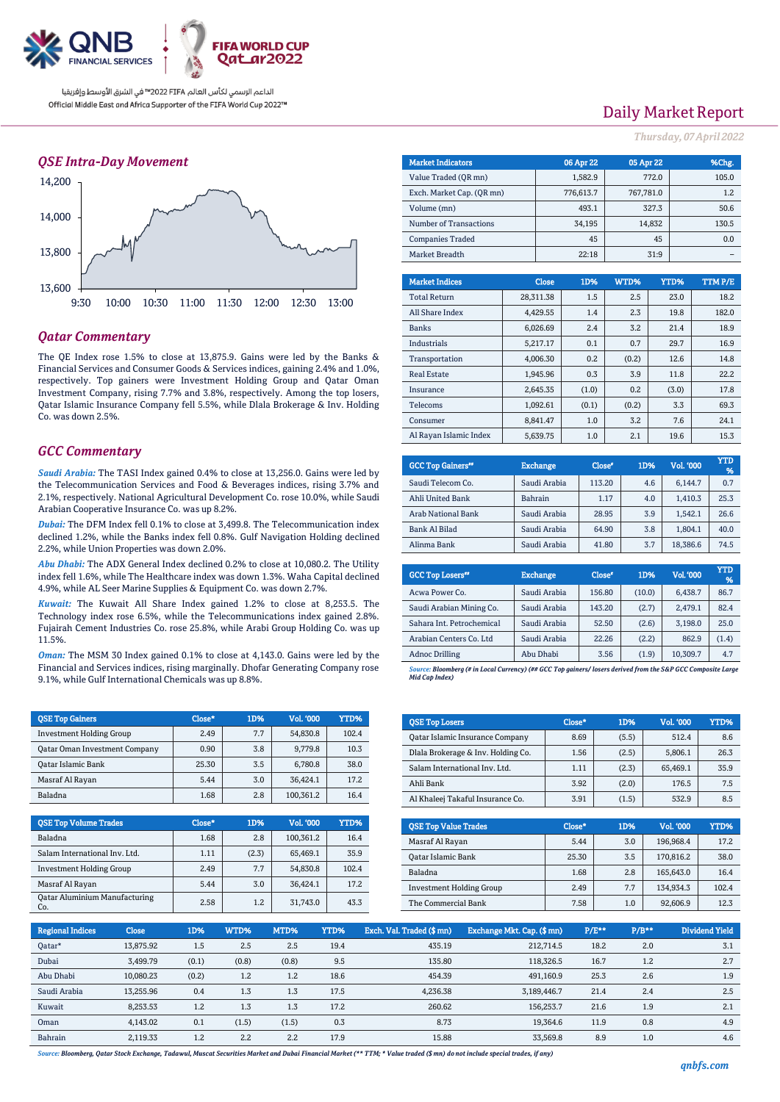

### *QSE Intra-Day Movement*



### *Qatar Commentary*

The QE Index rose 1.5% to close at 13,875.9. Gains were led by the Banks & Financial Services and Consumer Goods & Services indices, gaining 2.4% and 1.0%, respectively. Top gainers were Investment Holding Group and Qatar Oman Investment Company, rising 7.7% and 3.8%, respectively. Among the top losers, Qatar Islamic Insurance Company fell 5.5%, while Dlala Brokerage & Inv. Holding Co. was down 2.5%.

### *GCC Commentary*

*Saudi Arabia:* The TASI Index gained 0.4% to close at 13,256.0. Gains were led by the Telecommunication Services and Food & Beverages indices, rising 3.7% and 2.1%, respectively. National Agricultural Development Co. rose 10.0%, while Saudi Arabian Cooperative Insurance Co. was up 8.2%.

*Dubai:* The DFM Index fell 0.1% to close at 3,499.8. The Telecommunication index declined 1.2%, while the Banks index fell 0.8%. Gulf Navigation Holding declined 2.2%, while Union Properties was down 2.0%.

*Abu Dhabi:* The ADX General Index declined 0.2% to close at 10,080.2. The Utility index fell 1.6%, while The Healthcare index was down 1.3%. Waha Capital declined 4.9%, while AL Seer Marine Supplies & Equipment Co. was down 2.7%.

*Kuwait:* The Kuwait All Share Index gained 1.2% to close at 8,253.5. The Technology index rose 6.5%, while the Telecommunications index gained 2.8%. Fujairah Cement Industries Co. rose 25.8%, while Arabi Group Holding Co. was up 11.5%.

*Oman:* The MSM 30 Index gained 0.1% to close at 4,143.0. Gains were led by the Financial and Services indices, rising marginally. Dhofar Generating Company rose 9.1%, while Gulf International Chemicals was up 8.8%.

| <b>QSE Top Gainers</b>               | Close* | 1D% | <b>Vol. '000</b> | YTD%  |
|--------------------------------------|--------|-----|------------------|-------|
| <b>Investment Holding Group</b>      | 2.49   | 7.7 | 54,830.8         | 102.4 |
| <b>Qatar Oman Investment Company</b> | 0.90   | 3.8 | 9,779.8          | 10.3  |
|                                      |        |     |                  |       |
| <b>Oatar Islamic Bank</b>            | 25.30  | 3.5 | 6.780.8          | 38.0  |
| Masraf Al Rayan                      | 5.44   | 3.0 | 36.424.1         | 17.2  |
| Baladna                              | 1.68   | 2.8 | 100,361.2        | 16.4  |

| <b>OSE Top Volume Trades</b>                | Close* | 1D%   | Vol. '000 | YTD%  |
|---------------------------------------------|--------|-------|-----------|-------|
| Baladna                                     | 1.68   | 2.8   | 100,361.2 | 16.4  |
| Salam International Inv. Ltd.               | 1.11   | (2.3) | 65.469.1  | 35.9  |
| <b>Investment Holding Group</b>             | 2.49   | 7.7   | 54.830.8  | 102.4 |
| Masraf Al Rayan                             | 5.44   | 3.0   | 36.424.1  | 17.2  |
| <b>Qatar Aluminium Manufacturing</b><br>Co. | 2.58   | 1.2   | 31.743.0  | 43.3  |

## Daily Market Report

*Thursday, 07April 2022*

| <b>Market Indicators</b>  | 06 Apr 22 | 05 Apr 22 | %Chg. |
|---------------------------|-----------|-----------|-------|
| Value Traded (OR mn)      | 1.582.9   | 772.0     | 105.0 |
| Exch. Market Cap. (OR mn) | 776,613.7 | 767.781.0 | 1.2   |
| Volume (mn)               | 493.1     | 327.3     | 50.6  |
| Number of Transactions    | 34.195    | 14,832    | 130.5 |
| <b>Companies Traded</b>   | 45        | 45        | 0.0   |
| Market Breadth            | 22:18     | 31:9      |       |

| <b>Market Indices</b>  | <b>Close</b> | 1D%   | WTD%  | YTD%  | TTMP/E |
|------------------------|--------------|-------|-------|-------|--------|
| <b>Total Return</b>    | 28,311.38    | 1.5   | 2.5   | 23.0  | 18.2   |
| All Share Index        | 4.429.55     | 1.4   | 2.3   | 19.8  | 182.0  |
| <b>Banks</b>           | 6.026.69     | 2.4   | 3.2   | 21.4  | 18.9   |
| Industrials            | 5.217.17     | 0.1   | 0.7   | 29.7  | 16.9   |
| Transportation         | 4,006.30     | 0.2   | (0.2) | 12.6  | 14.8   |
| <b>Real Estate</b>     | 1.945.96     | 0.3   | 3.9   | 11.8  | 22.2   |
| Insurance              | 2.645.35     | (1.0) | 0.2   | (3.0) | 17.8   |
| <b>Telecoms</b>        | 1.092.61     | (0.1) | (0.2) | 3.3   | 69.3   |
| Consumer               | 8.841.47     | 1.0   | 3.2   | 7.6   | 24.1   |
| Al Ravan Islamic Index | 5.639.75     | 1.0   | 2.1   | 19.6  | 15.3   |

| <b>GCC Top Gainers**</b> | <b>Exchange</b> | Close* | 1D% | Vol. '000 | <b>YTD</b><br>96 |
|--------------------------|-----------------|--------|-----|-----------|------------------|
| Saudi Telecom Co.        | Saudi Arabia    | 113.20 | 4.6 | 6.144.7   | 0.7              |
| Ahli United Bank         | Bahrain         | 1.17   | 4.0 | 1.410.3   | 25.3             |
| Arab National Bank       | Saudi Arabia    | 28.95  | 3.9 | 1.542.1   | 26.6             |
| <b>Bank Al Bilad</b>     | Saudi Arabia    | 64.90  | 3.8 | 1.804.1   | 40.0             |
| Alinma Bank              | Saudi Arabia    | 41.80  | 3.7 | 18,386.6  | 74.5             |

| <b>GCC Top Losers</b> "   | <b>Exchange</b> | Close* | 1D%    | Vol. '000 | YTD<br>% |
|---------------------------|-----------------|--------|--------|-----------|----------|
| Acwa Power Co.            | Saudi Arabia    | 156.80 | (10.0) | 6.438.7   | 86.7     |
| Saudi Arabian Mining Co.  | Saudi Arabia    | 143.20 | (2.7)  | 2.479.1   | 82.4     |
| Sahara Int. Petrochemical | Saudi Arabia    | 52.50  | (2.6)  | 3,198.0   | 25.0     |
| Arabian Centers Co. Ltd   | Saudi Arabia    | 22.26  | (2.2)  | 862.9     | (1.4)    |
| <b>Adnoc Drilling</b>     | Abu Dhabi       | 3.56   | (1.9)  | 10,309.7  | 4.7      |

*Source: Bloomberg (# in Local Currency) (## GCC Top gainers/ losers derived from the S&P GCC Composite Large Mid Cap Index)*

| <b>QSE Top Losers</b>                  | Close* | 1D%   | <b>Vol. '000</b> | <b>YTD%</b> |
|----------------------------------------|--------|-------|------------------|-------------|
| <b>Qatar Islamic Insurance Company</b> | 8.69   | (5.5) | 512.4            | 8.6         |
| Dlala Brokerage & Inv. Holding Co.     | 1.56   | (2.5) | 5,806.1          | 26.3        |
| Salam International Inv. Ltd.          | 1.11   | (2.3) | 65,469.1         | 35.9        |
| Ahli Bank                              | 3.92   | (2.0) | 176.5            | 7.5         |
| Al Khaleej Takaful Insurance Co.       | 3.91   | (1.5) | 532.9            | 8.5         |

| <b>OSE Top Value Trades</b>     | Close* | 1D% | Vol. '000 | YTD%  |
|---------------------------------|--------|-----|-----------|-------|
| Masraf Al Rayan                 | 5.44   | 3.0 | 196.968.4 | 17.2  |
| Qatar Islamic Bank              | 25.30  | 3.5 | 170.816.2 | 38.0  |
| Baladna                         | 1.68   | 2.8 | 165,643.0 | 16.4  |
| <b>Investment Holding Group</b> | 2.49   | 7.7 | 134.934.3 | 102.4 |
| The Commercial Bank             | 7.58   | 1.0 | 92,606.9  | 12.3  |

| <b>Regional Indices</b> | <b>Close</b> | 1D%   | WTD%  | MTD%  | YTD% | Exch. Val. Traded (\$ mn) | Exchange Mkt. Cap. (\$ mn) | $P/E***$ | $P/B**$ | Dividend Yield |
|-------------------------|--------------|-------|-------|-------|------|---------------------------|----------------------------|----------|---------|----------------|
| Qatar*                  | 13.875.92    | 1.5   | 2.5   | 2.5   | 19.4 | 435.19                    | 212,714.5                  | 18.2     | 2.0     | 3.1            |
| Dubai                   | 3.499.79     | (0.1) | (0.8) | (0.8) | 9.5  | 135.80                    | 118.326.5                  | 16.7     | 1.2     | 2.7            |
| Abu Dhabi               | 10.080.23    | (0.2) | 1.2   | 1.2   | 18.6 | 454.39                    | 491.160.9                  | 25.3     | 2.6     | 1.9            |
| Saudi Arabia            | 13.255.96    | 0.4   | 1.3   | 1.3   | 17.5 | 4.236.38                  | 3.189.446.7                | 21.4     | 2.4     | 2.5            |
| Kuwait                  | 8,253.53     | 1.2   | 1.3   | 1.3   | 17.2 | 260.62                    | 156,253.7                  | 21.6     | 1.9     | 2.1            |
| Oman                    | 4.143.02     | 0.1   | (1.5) | (1.5) | 0.3  | 8.73                      | 19.364.6                   | 11.9     | 0.8     | 4.9            |
| Bahrain                 | 2,119.33     | 1.2   | 2.2   | 2.2   | 17.9 | 15.88                     | 33.569.8                   | 8.9      | 1.0     | 4.6            |

*Source: Bloomberg, Qatar Stock Exchange, Tadawul, Muscat Securities Market and Dubai Financial Market (\*\* TTM; \* Value traded (\$ mn) do not include special trades, if any)*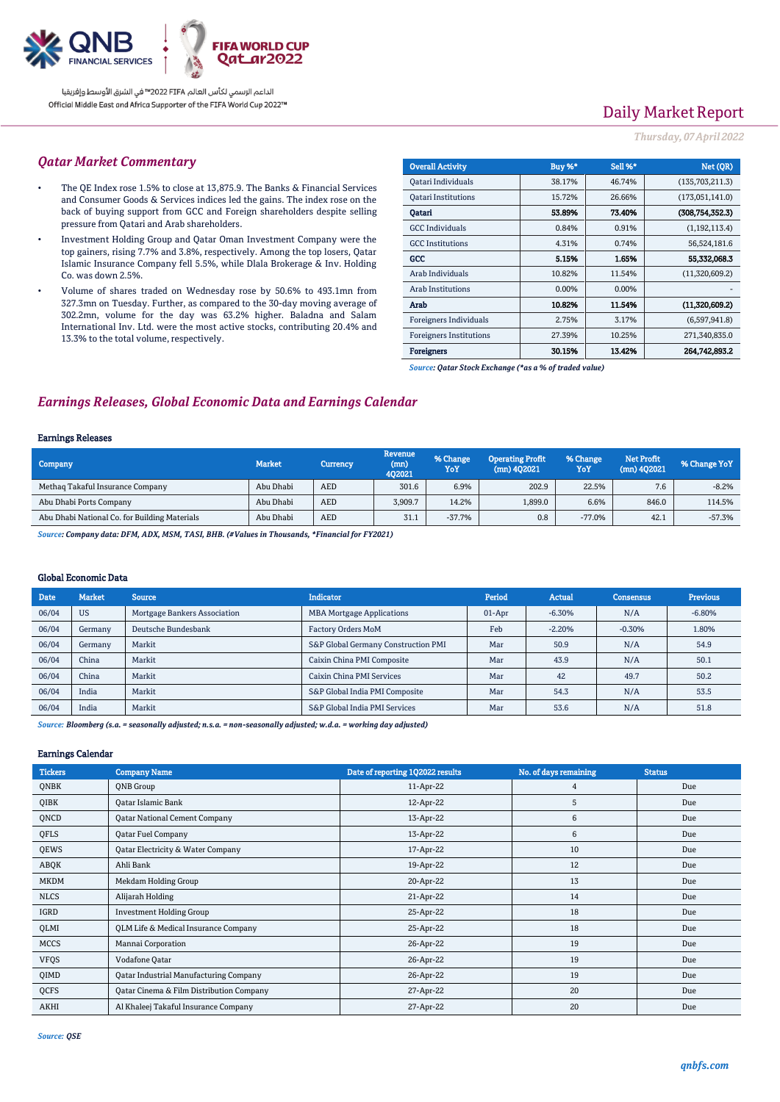

# Daily Market Report

### *Thursday, 07April 2022*

### *Qatar Market Commentary*

- The QE Index rose 1.5% to close at 13,875.9. The Banks & Financial Services and Consumer Goods & Services indices led the gains. The index rose on the back of buying support from GCC and Foreign shareholders despite selling pressure from Qatari and Arab shareholders.
- Investment Holding Group and Qatar Oman Investment Company were the top gainers, rising 7.7% and 3.8%, respectively. Among the top losers, Qatar Islamic Insurance Company fell 5.5%, while Dlala Brokerage & Inv. Holding Co. was down 2.5%.
- Volume of shares traded on Wednesday rose by 50.6% to 493.1mn from 327.3mn on Tuesday. Further, as compared to the 30-day moving average of 302.2mn, volume for the day was 63.2% higher. Baladna and Salam International Inv. Ltd. were the most active stocks, contributing 20.4% and 13.3% to the total volume, respectively.

| <b>Overall Activity</b>        | <b>Buy %*</b> | Sell %*  | Net (OR)        |
|--------------------------------|---------------|----------|-----------------|
| Qatari Individuals             | 38.17%        | 46.74%   | (135,703,211.3) |
| <b>Qatari Institutions</b>     | 15.72%        | 26.66%   | (173,051,141.0) |
| Oatari                         | 53.89%        | 73.40%   | (308,754,352.3) |
| <b>GCC</b> Individuals         | 0.84%         | 0.91%    | (1, 192, 113.4) |
| <b>GCC</b> Institutions        | 4.31%         | 0.74%    | 56,524,181.6    |
| GCC                            | 5.15%         | 1.65%    | 55.332.068.3    |
| Arab Individuals               | 10.82%        | 11.54%   | (11,320,609.2)  |
| <b>Arab Institutions</b>       | $0.00\%$      | $0.00\%$ |                 |
| Arab                           | 10.82%        | 11.54%   | (11,320,609.2)  |
| Foreigners Individuals         | 2.75%         | 3.17%    | (6,597,941.8)   |
| <b>Foreigners Institutions</b> | 27.39%        | 10.25%   | 271,340,835.0   |
| <b>Foreigners</b>              | 30.15%        | 13.42%   | 264,742,893.2   |

*Source: Qatar Stock Exchange (\*as a % of traded value)*

### *Earnings Releases, Global Economic Data and Earnings Calendar*

### Earnings Releases

| Company                                       | <b>Market</b> | Currency   | Revenue<br>(mn)<br>402021 | % Change<br>YoY | <b>Operating Profit</b><br>$(mn)$ 402021 | % Change<br>YoY | <b>Net Profit</b><br>$(mn)$ 402021 | % Change YoY |
|-----------------------------------------------|---------------|------------|---------------------------|-----------------|------------------------------------------|-----------------|------------------------------------|--------------|
| Methaq Takaful Insurance Company              | Abu Dhabi     | <b>AED</b> | 301.6                     | 6.9%            | 202.9                                    | 22.5%           | 7.6                                | $-8.2%$      |
| Abu Dhabi Ports Company                       | Abu Dhabi     | <b>AED</b> | 3.909.7                   | 14.2%           | 1.899.0                                  | 6.6%            | 846.0                              | 114.5%       |
| Abu Dhabi National Co. for Building Materials | Abu Dhabi     | <b>AED</b> | 31.1                      | $-37.7%$        | 0.8                                      | $-77.0%$        | 42.1                               | $-57.3%$     |

*Source: Company data: DFM, ADX, MSM, TASI, BHB. (#Values in Thousands, \*Financial for FY2021)*

#### Global Economic Data

| Date. | <b>Market</b> | <b>Source</b>                | <b>Indicator</b>                    | Period   | <b>Actual</b> | Consensus | <b>Previous</b> |
|-------|---------------|------------------------------|-------------------------------------|----------|---------------|-----------|-----------------|
| 06/04 | <b>US</b>     | Mortgage Bankers Association | <b>MBA Mortgage Applications</b>    | $01-Apr$ | $-6.30%$      | N/A       | $-6.80%$        |
| 06/04 | Germany       | Deutsche Bundesbank          | <b>Factory Orders MoM</b>           | Feb      | $-2.20%$      | $-0.30%$  | 1.80%           |
| 06/04 | Germany       | Markit                       | S&P Global Germany Construction PMI | Mar      | 50.9          | N/A       | 54.9            |
| 06/04 | China         | Markit                       | Caixin China PMI Composite          | Mar      | 43.9          | N/A       | 50.1            |
| 06/04 | China         | Markit                       | Caixin China PMI Services           | Mar      | 42            | 49.7      | 50.2            |
| 06/04 | India         | Markit                       | S&P Global India PMI Composite      | Mar      | 54.3          | N/A       | 53.5            |
| 06/04 | India         | Markit                       | S&P Global India PMI Services       | Mar      | 53.6          | N/A       | 51.8            |

*Source: Bloomberg (s.a. = seasonally adjusted; n.s.a. = non-seasonally adjusted; w.d.a. = working day adjusted)*

### Earnings Calendar

| <b>Tickers</b> | <b>Company Name</b>                           | Date of reporting 1Q2022 results | No. of days remaining | <b>Status</b> |
|----------------|-----------------------------------------------|----------------------------------|-----------------------|---------------|
| <b>ONBK</b>    | ONB Group                                     | 11-Apr-22                        | 4                     | Due           |
| QIBK           | Qatar Islamic Bank                            | 12-Apr-22                        | 5                     | Due           |
| QNCD           | <b>Qatar National Cement Company</b>          | 13-Apr-22                        | 6                     | Due           |
| QFLS           | <b>Qatar Fuel Company</b>                     | 13-Apr-22                        | 6                     | Due           |
| QEWS           | Qatar Electricity & Water Company             | 17-Apr-22                        | 10                    | Due           |
| ABQK           | Ahli Bank                                     | 19-Apr-22                        | 12                    | Due           |
| <b>MKDM</b>    | Mekdam Holding Group                          | 20-Apr-22                        | 13                    | Due           |
| <b>NLCS</b>    | Alijarah Holding                              | 21-Apr-22                        | 14                    | Due           |
| IGRD           | <b>Investment Holding Group</b>               | 25-Apr-22                        | 18                    | Due           |
| QLMI           | QLM Life & Medical Insurance Company          | 25-Apr-22                        | 18                    | Due           |
| <b>MCCS</b>    | Mannai Corporation                            | 26-Apr-22                        | 19                    | Due           |
| <b>VFQS</b>    | Vodafone Qatar                                | 26-Apr-22                        | 19                    | Due           |
| QIMD           | <b>Qatar Industrial Manufacturing Company</b> | 26-Apr-22                        | 19                    | Due           |
| QCFS           | Qatar Cinema & Film Distribution Company      | 27-Apr-22                        | 20                    | Due           |
| <b>AKHI</b>    | Al Khaleej Takaful Insurance Company          | 27-Apr-22                        | 20                    | Due           |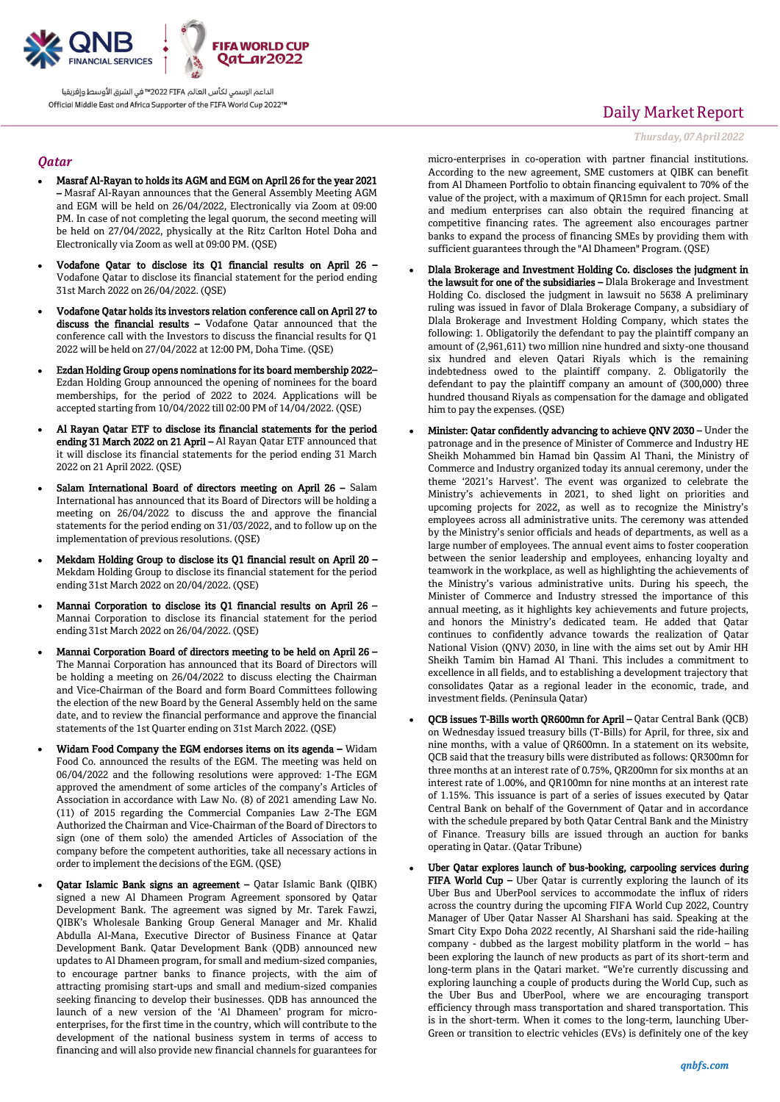

### *Qatar*

- Masraf Al-Rayan to holds its AGM and EGM on April 26 for the year 2021 – Masraf Al-Rayan announces that the General Assembly Meeting AGM and EGM will be held on 26/04/2022, Electronically via Zoom at 09:00 PM. In case of not completing the legal quorum, the second meeting will be held on 27/04/2022, physically at the Ritz Carlton Hotel Doha and Electronically via Zoom as well at 09:00 PM. (QSE)
- Vodafone Qatar to disclose its Q1 financial results on April 26 Vodafone Qatar to disclose its financial statement for the period ending 31st March 2022 on 26/04/2022. (QSE)
- Vodafone Qatar holds its investors relation conference call on April 27 to discuss the financial results – Vodafone Qatar announced that the conference call with the Investors to discuss the financial results for Q1 2022 will be held on 27/04/2022 at 12:00 PM, Doha Time. (QSE)
- Ezdan Holding Group opens nominations for its board membership 2022– Ezdan Holding Group announced the opening of nominees for the board memberships, for the period of 2022 to 2024. Applications will be accepted starting from 10/04/2022 till 02:00 PM of 14/04/2022. (QSE)
- Al Rayan Qatar ETF to disclose its financial statements for the period ending 31 March 2022 on 21 April - Al Rayan Qatar ETF announced that it will disclose its financial statements for the period ending 31 March 2022 on 21 April 2022. (QSE)
- Salam International Board of directors meeting on April 26 Salam International has announced that its Board of Directors will be holding a meeting on 26/04/2022 to discuss the and approve the financial statements for the period ending on 31/03/2022, and to follow up on the implementation of previous resolutions. (QSE)
- Mekdam Holding Group to disclose its Q1 financial result on April 20 Mekdam Holding Group to disclose its financial statement for the period ending 31st March 2022 on 20/04/2022. (QSE)
- Mannai Corporation to disclose its Q1 financial results on April 26 Mannai Corporation to disclose its financial statement for the period ending 31st March 2022 on 26/04/2022. (QSE)
- Mannai Corporation Board of directors meeting to be held on April 26 The Mannai Corporation has announced that its Board of Directors will be holding a meeting on 26/04/2022 to discuss electing the Chairman and Vice-Chairman of the Board and form Board Committees following the election of the new Board by the General Assembly held on the same date, and to review the financial performance and approve the financial statements of the 1st Quarter ending on 31st March 2022. (QSE)
- Widam Food Company the EGM endorses items on its agenda Widam Food Co. announced the results of the EGM. The meeting was held on 06/04/2022 and the following resolutions were approved: 1-The EGM approved the amendment of some articles of the company's Articles of Association in accordance with Law No. (8) of 2021 amending Law No. (11) of 2015 regarding the Commercial Companies Law 2-The EGM Authorized the Chairman and Vice-Chairman of the Board of Directors to sign (one of them solo) the amended Articles of Association of the company before the competent authorities, take all necessary actions in order to implement the decisions of the EGM. (QSE)
- Qatar Islamic Bank signs an agreement Qatar Islamic Bank (QIBK) signed a new Al Dhameen Program Agreement sponsored by Qatar Development Bank. The agreement was signed by Mr. Tarek Fawzi, QIBK's Wholesale Banking Group General Manager and Mr. Khalid Abdulla Al-Mana, Executive Director of Business Finance at Qatar Development Bank. Qatar Development Bank (QDB) announced new updates to Al Dhameen program, for small and medium-sized companies, to encourage partner banks to finance projects, with the aim of attracting promising start-ups and small and medium-sized companies seeking financing to develop their businesses. QDB has announced the launch of a new version of the 'Al Dhameen' program for microenterprises, for the first time in the country, which will contribute to the development of the national business system in terms of access to financing and will also provide new financial channels for guarantees for

# Daily Market Report

#### *Thursday, 07April 2022*

micro-enterprises in co-operation with partner financial institutions. According to the new agreement, SME customers at QIBK can benefit from Al Dhameen Portfolio to obtain financing equivalent to 70% of the value of the project, with a maximum of QR15mn for each project. Small and medium enterprises can also obtain the required financing at competitive financing rates. The agreement also encourages partner banks to expand the process of financing SMEs by providing them with sufficient guarantees through the "Al Dhameen" Program. (QSE)

- Dlala Brokerage and Investment Holding Co. discloses the judgment in the lawsuit for one of the subsidiaries – Dlala Brokerage and Investment Holding Co. disclosed the judgment in lawsuit no 5638 A preliminary ruling was issued in favor of Dlala Brokerage Company, a subsidiary of Dlala Brokerage and Investment Holding Company, which states the following: 1. Obligatorily the defendant to pay the plaintiff company an amount of (2,961,611) two million nine hundred and sixty-one thousand six hundred and eleven Qatari Riyals which is the remaining indebtedness owed to the plaintiff company. 2. Obligatorily the defendant to pay the plaintiff company an amount of (300,000) three hundred thousand Riyals as compensation for the damage and obligated him to pay the expenses. (QSE)
- Minister: Qatar confidently advancing to achieve QNV 2030 Under the patronage and in the presence of Minister of Commerce and Industry HE Sheikh Mohammed bin Hamad bin Qassim Al Thani, the Ministry of Commerce and Industry organized today its annual ceremony, under the theme '2021's Harvest'. The event was organized to celebrate the Ministry's achievements in 2021, to shed light on priorities and upcoming projects for 2022, as well as to recognize the Ministry's employees across all administrative units. The ceremony was attended by the Ministry's senior officials and heads of departments, as well as a large number of employees. The annual event aims to foster cooperation between the senior leadership and employees, enhancing loyalty and teamwork in the workplace, as well as highlighting the achievements of the Ministry's various administrative units. During his speech, the Minister of Commerce and Industry stressed the importance of this annual meeting, as it highlights key achievements and future projects, and honors the Ministry's dedicated team. He added that Qatar continues to confidently advance towards the realization of Qatar National Vision (QNV) 2030, in line with the aims set out by Amir HH Sheikh Tamim bin Hamad Al Thani. This includes a commitment to excellence in all fields, and to establishing a development trajectory that consolidates Qatar as a regional leader in the economic, trade, and investment fields. (Peninsula Qatar)
- QCB issues T-Bills worth QR600mn for April Qatar Central Bank (QCB) on Wednesday issued treasury bills (T-Bills) for April, for three, six and nine months, with a value of QR600mn. In a statement on its website, QCB said that the treasury bills were distributed as follows: QR300mn for three months at an interest rate of 0.75%, QR200mn for six months at an interest rate of 1.00%, and QR100mn for nine months at an interest rate of 1.15%. This issuance is part of a series of issues executed by Qatar Central Bank on behalf of the Government of Qatar and in accordance with the schedule prepared by both Qatar Central Bank and the Ministry of Finance. Treasury bills are issued through an auction for banks operating in Qatar. (Qatar Tribune)
- Uber Qatar explores launch of bus-booking, carpooling services during FIFA World Cup - Uber Qatar is currently exploring the launch of its Uber Bus and UberPool services to accommodate the influx of riders across the country during the upcoming FIFA World Cup 2022, Country Manager of Uber Qatar Nasser Al Sharshani has said. Speaking at the Smart City Expo Doha 2022 recently, Al Sharshani said the ride-hailing company - dubbed as the largest mobility platform in the world – has been exploring the launch of new products as part of its short-term and long-term plans in the Qatari market. "We're currently discussing and exploring launching a couple of products during the World Cup, such as the Uber Bus and UberPool, where we are encouraging transport efficiency through mass transportation and shared transportation. This is in the short-term. When it comes to the long-term, launching Uber-Green or transition to electric vehicles (EVs) is definitely one of the key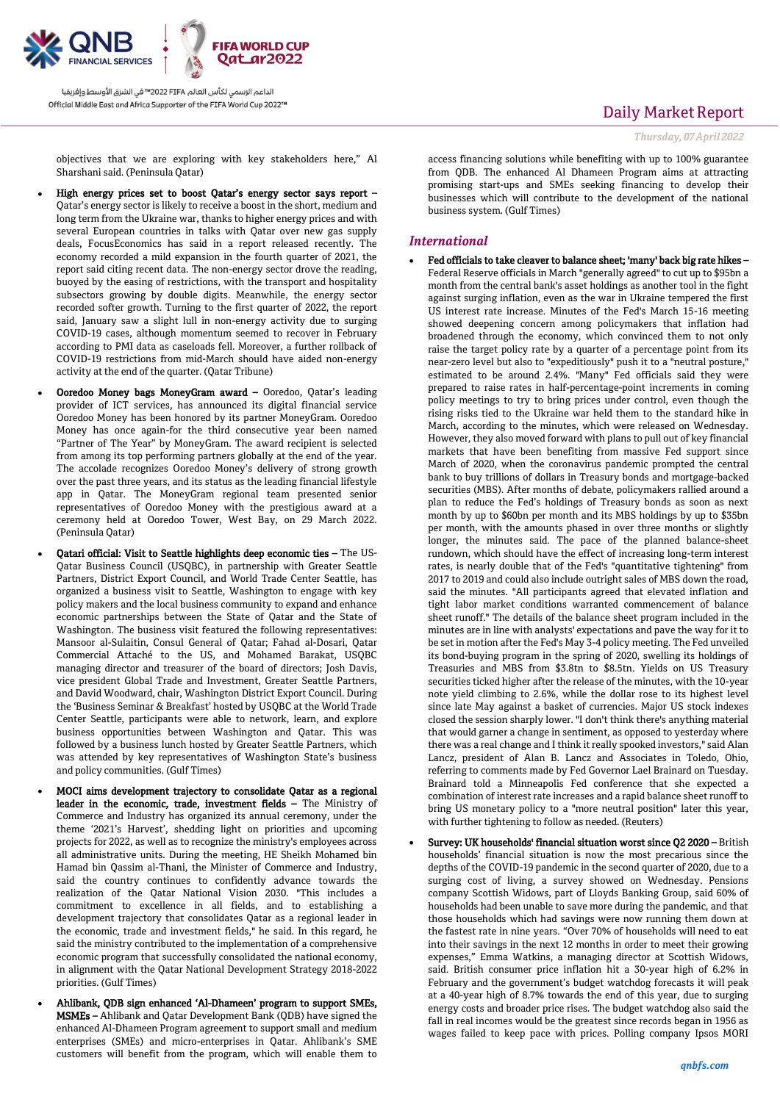

# Daily Market Report

*Thursday, 07April 2022*

objectives that we are exploring with key stakeholders here," Al Sharshani said. (Peninsula Qatar)

- High energy prices set to boost Qatar's energy sector says report Qatar's energy sector is likely to receive a boost in the short, medium and long term from the Ukraine war, thanks to higher energy prices and with several European countries in talks with Qatar over new gas supply deals, FocusEconomics has said in a report released recently. The economy recorded a mild expansion in the fourth quarter of 2021, the report said citing recent data. The non-energy sector drove the reading, buoyed by the easing of restrictions, with the transport and hospitality subsectors growing by double digits. Meanwhile, the energy sector recorded softer growth. Turning to the first quarter of 2022, the report said, January saw a slight lull in non-energy activity due to surging COVID-19 cases, although momentum seemed to recover in February according to PMI data as caseloads fell. Moreover, a further rollback of COVID-19 restrictions from mid-March should have aided non-energy activity at the end of the quarter. (Qatar Tribune)
- Ooredoo Money bags MoneyGram award Ooredoo, Qatar's leading provider of ICT services, has announced its digital financial service Ooredoo Money has been honored by its partner MoneyGram. Ooredoo Money has once again-for the third consecutive year been named "Partner of The Year" by MoneyGram. The award recipient is selected from among its top performing partners globally at the end of the year. The accolade recognizes Ooredoo Money's delivery of strong growth over the past three years, and its status as the leading financial lifestyle app in Qatar. The MoneyGram regional team presented senior representatives of Ooredoo Money with the prestigious award at a ceremony held at Ooredoo Tower, West Bay, on 29 March 2022. (Peninsula Qatar)
- Qatari official: Visit to Seattle highlights deep economic ties The US-Qatar Business Council (USQBC), in partnership with Greater Seattle Partners, District Export Council, and World Trade Center Seattle, has organized a business visit to Seattle, Washington to engage with key policy makers and the local business community to expand and enhance economic partnerships between the State of Qatar and the State of Washington. The business visit featured the following representatives: Mansoor al-Sulaitin, Consul General of Qatar; Fahad al-Dosari, Qatar Commercial Attaché to the US, and Mohamed Barakat, USQBC managing director and treasurer of the board of directors; Josh Davis, vice president Global Trade and Investment, Greater Seattle Partners, and David Woodward, chair, Washington District Export Council. During the 'Business Seminar & Breakfast' hosted by USQBC at the World Trade Center Seattle, participants were able to network, learn, and explore business opportunities between Washington and Qatar. This was followed by a business lunch hosted by Greater Seattle Partners, which was attended by key representatives of Washington State's business and policy communities. (Gulf Times)
- MOCI aims development trajectory to consolidate Qatar as a regional leader in the economic, trade, investment fields – The Ministry of Commerce and Industry has organized its annual ceremony, under the theme '2021's Harvest', shedding light on priorities and upcoming projects for 2022, as well as to recognize the ministry's employees across all administrative units. During the meeting, HE Sheikh Mohamed bin Hamad bin Qassim al-Thani, the Minister of Commerce and Industry, said the country continues to confidently advance towards the realization of the Qatar National Vision 2030. "This includes a commitment to excellence in all fields, and to establishing a development trajectory that consolidates Qatar as a regional leader in the economic, trade and investment fields," he said. In this regard, he said the ministry contributed to the implementation of a comprehensive economic program that successfully consolidated the national economy, in alignment with the Qatar National Development Strategy 2018-2022 priorities. (Gulf Times)
- Ahlibank, QDB sign enhanced 'Al-Dhameen' program to support SMEs, MSMEs – Ahlibank and Qatar Development Bank (QDB) have signed the enhanced Al-Dhameen Program agreement to support small and medium enterprises (SMEs) and micro-enterprises in Qatar. Ahlibank's SME customers will benefit from the program, which will enable them to

access financing solutions while benefiting with up to 100% guarantee from QDB. The enhanced Al Dhameen Program aims at attracting promising start-ups and SMEs seeking financing to develop their businesses which will contribute to the development of the national business system. (Gulf Times)

### *International*

- Fed officials to take cleaver to balance sheet; 'many' back big rate hikes Federal Reserve officials in March "generally agreed" to cut up to \$95bn a month from the central bank's asset holdings as another tool in the fight against surging inflation, even as the war in Ukraine tempered the first US interest rate increase. Minutes of the Fed's March 15-16 meeting showed deepening concern among policymakers that inflation had broadened through the economy, which convinced them to not only raise the target policy rate by a quarter of a percentage point from its near-zero level but also to "expeditiously" push it to a "neutral posture," estimated to be around 2.4%. "Many" Fed officials said they were prepared to raise rates in half-percentage-point increments in coming policy meetings to try to bring prices under control, even though the rising risks tied to the Ukraine war held them to the standard hike in March, according to the minutes, which were released on Wednesday. However, they also moved forward with plans to pull out of key financial markets that have been benefiting from massive Fed support since March of 2020, when the coronavirus pandemic prompted the central bank to buy trillions of dollars in Treasury bonds and mortgage-backed securities (MBS). After months of debate, policymakers rallied around a plan to reduce the Fed's holdings of Treasury bonds as soon as next month by up to \$60bn per month and its MBS holdings by up to \$35bn per month, with the amounts phased in over three months or slightly longer, the minutes said. The pace of the planned balance-sheet rundown, which should have the effect of increasing long-term interest rates, is nearly double that of the Fed's "quantitative tightening" from 2017 to 2019 and could also include outright sales of MBS down the road, said the minutes. "All participants agreed that elevated inflation and tight labor market conditions warranted commencement of balance sheet runoff." The details of the balance sheet program included in the minutes are in line with analysts' expectations and pave the way for it to be set in motion after the Fed's May 3-4 policy meeting. The Fed unveiled its bond-buying program in the spring of 2020, swelling its holdings of Treasuries and MBS from \$3.8tn to \$8.5tn. Yields on US Treasury securities ticked higher after the release of the minutes, with the 10-year note yield climbing to 2.6%, while the dollar rose to its highest level since late May against a basket of currencies. Major US stock indexes closed the session sharply lower. "I don't think there's anything material that would garner a change in sentiment, as opposed to yesterday where there was a real change and I think it really spooked investors," said Alan Lancz, president of Alan B. Lancz and Associates in Toledo, Ohio, referring to comments made by Fed Governor Lael Brainard on Tuesday. Brainard told a Minneapolis Fed conference that she expected a combination of interest rate increases and a rapid balance sheet runoff to bring US monetary policy to a "more neutral position" later this year, with further tightening to follow as needed. (Reuters)
- Survey: UK households' financial situation worst since Q2 2020 British households' financial situation is now the most precarious since the depths of the COVID-19 pandemic in the second quarter of 2020, due to a surging cost of living, a survey showed on Wednesday. Pensions company Scottish Widows, part of Lloyds Banking Group, said 60% of households had been unable to save more during the pandemic, and that those households which had savings were now running them down at the fastest rate in nine years. "Over 70% of households will need to eat into their savings in the next 12 months in order to meet their growing expenses," Emma Watkins, a managing director at Scottish Widows, said. British consumer price inflation hit a 30-year high of 6.2% in February and the government's budget watchdog forecasts it will peak at a 40-year high of 8.7% towards the end of this year, due to surging energy costs and broader price rises. The budget watchdog also said the fall in real incomes would be the greatest since records began in 1956 as wages failed to keep pace with prices. Polling company Ipsos MORI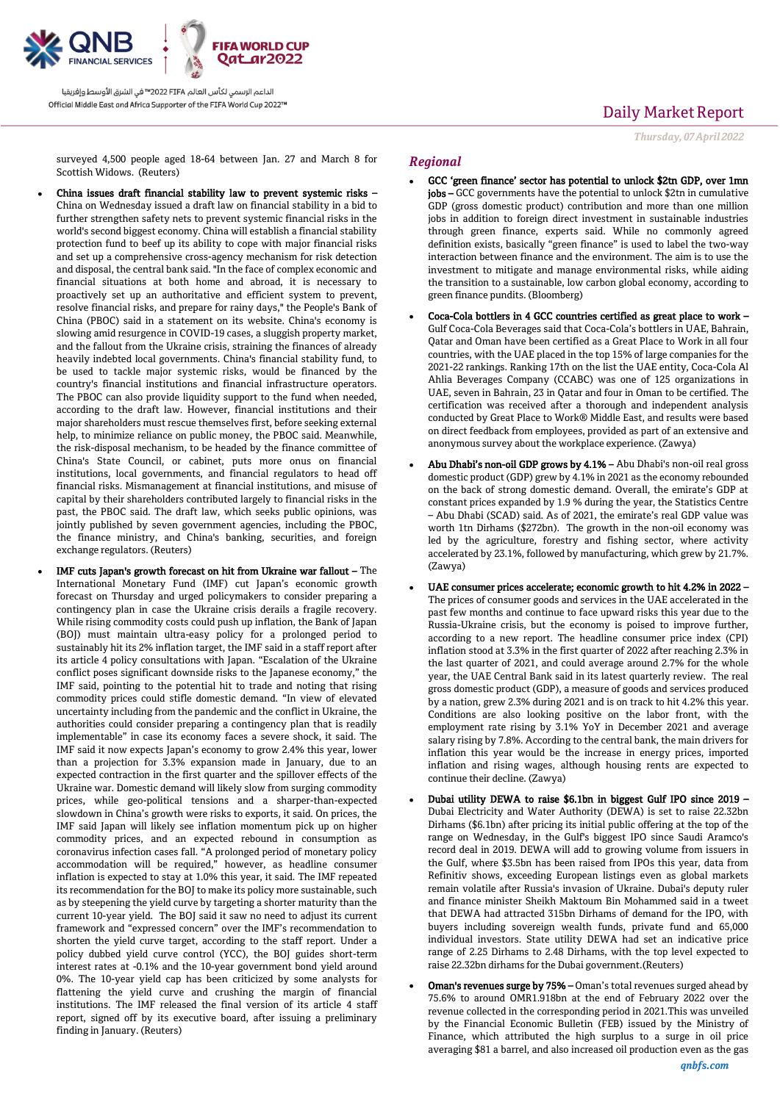

# Daily Market Report

*Thursday, 07April 2022*

surveyed 4,500 people aged 18-64 between Jan. 27 and March 8 for Scottish Widows. (Reuters)

- China issues draft financial stability law to prevent systemic risks China on Wednesday issued a draft law on financial stability in a bid to further strengthen safety nets to prevent systemic financial risks in the world's second biggest economy. China will establish a financial stability protection fund to beef up its ability to cope with major financial risks and set up a comprehensive cross-agency mechanism for risk detection and disposal, the central bank said. "In the face of complex economic and financial situations at both home and abroad, it is necessary to proactively set up an authoritative and efficient system to prevent, resolve financial risks, and prepare for rainy days," the People's Bank of China (PBOC) said in a statement on its website. China's economy is slowing amid resurgence in COVID-19 cases, a sluggish property market, and the fallout from the Ukraine crisis, straining the finances of already heavily indebted local governments. China's financial stability fund, to be used to tackle major systemic risks, would be financed by the country's financial institutions and financial infrastructure operators. The PBOC can also provide liquidity support to the fund when needed, according to the draft law. However, financial institutions and their major shareholders must rescue themselves first, before seeking external help, to minimize reliance on public money, the PBOC said. Meanwhile, the risk-disposal mechanism, to be headed by the finance committee of China's State Council, or cabinet, puts more onus on financial institutions, local governments, and financial regulators to head off financial risks. Mismanagement at financial institutions, and misuse of capital by their shareholders contributed largely to financial risks in the past, the PBOC said. The draft law, which seeks public opinions, was jointly published by seven government agencies, including the PBOC, the finance ministry, and China's banking, securities, and foreign exchange regulators. (Reuters)
- IMF cuts Japan's growth forecast on hit from Ukraine war fallout The International Monetary Fund (IMF) cut Japan's economic growth forecast on Thursday and urged policymakers to consider preparing a contingency plan in case the Ukraine crisis derails a fragile recovery. While rising commodity costs could push up inflation, the Bank of Japan (BOJ) must maintain ultra-easy policy for a prolonged period to sustainably hit its 2% inflation target, the IMF said in a staff report after its article 4 policy consultations with Japan. "Escalation of the Ukraine conflict poses significant downside risks to the Japanese economy," the IMF said, pointing to the potential hit to trade and noting that rising commodity prices could stifle domestic demand. "In view of elevated uncertainty including from the pandemic and the conflict in Ukraine, the authorities could consider preparing a contingency plan that is readily implementable" in case its economy faces a severe shock, it said. The IMF said it now expects Japan's economy to grow 2.4% this year, lower than a projection for 3.3% expansion made in January, due to an expected contraction in the first quarter and the spillover effects of the Ukraine war. Domestic demand will likely slow from surging commodity prices, while geo-political tensions and a sharper-than-expected slowdown in China's growth were risks to exports, it said. On prices, the IMF said Japan will likely see inflation momentum pick up on higher commodity prices, and an expected rebound in consumption as coronavirus infection cases fall. "A prolonged period of monetary policy accommodation will be required," however, as headline consumer inflation is expected to stay at 1.0% this year, it said. The IMF repeated its recommendation for the BOJ to make its policy more sustainable, such as by steepening the yield curve by targeting a shorter maturity than the current 10-year yield. The BOJ said it saw no need to adjust its current framework and "expressed concern" over the IMF's recommendation to shorten the yield curve target, according to the staff report. Under a policy dubbed yield curve control (YCC), the BOJ guides short-term interest rates at -0.1% and the 10-year government bond yield around 0%. The 10-year yield cap has been criticized by some analysts for flattening the yield curve and crushing the margin of financial institutions. The IMF released the final version of its article 4 staff report, signed off by its executive board, after issuing a preliminary finding in January. (Reuters)

### *Regional*

- GCC 'green finance' sector has potential to unlock \$2tn GDP, over 1mn jobs - GCC governments have the potential to unlock \$2tn in cumulative GDP (gross domestic product) contribution and more than one million jobs in addition to foreign direct investment in sustainable industries through green finance, experts said. While no commonly agreed definition exists, basically "green finance" is used to label the two-way interaction between finance and the environment. The aim is to use the investment to mitigate and manage environmental risks, while aiding the transition to a sustainable, low carbon global economy, according to green finance pundits. (Bloomberg)
- Coca-Cola bottlers in 4 GCC countries certified as great place to work Gulf Coca-Cola Beverages said that Coca-Cola's bottlers in UAE, Bahrain, Qatar and Oman have been certified as a Great Place to Work in all four countries, with the UAE placed in the top 15% of large companies for the 2021-22 rankings. Ranking 17th on the list the UAE entity, Coca-Cola Al Ahlia Beverages Company (CCABC) was one of 125 organizations in UAE, seven in Bahrain, 23 in Qatar and four in Oman to be certified. The certification was received after a thorough and independent analysis conducted by Great Place to Work® Middle East, and results were based on direct feedback from employees, provided as part of an extensive and anonymous survey about the workplace experience. (Zawya)
- Abu Dhabi's non-oil GDP grows by 4.1% Abu Dhabi's non-oil real gross domestic product (GDP) grew by 4.1% in 2021 as the economy rebounded on the back of strong domestic demand. Overall, the emirate's GDP at constant prices expanded by 1.9 % during the year, the Statistics Centre – Abu Dhabi (SCAD) said. As of 2021, the emirate's real GDP value was worth 1tn Dirhams (\$272bn). The growth in the non-oil economy was led by the agriculture, forestry and fishing sector, where activity accelerated by 23.1%, followed by manufacturing, which grew by 21.7%. (Zawya)
- UAE consumer prices accelerate; economic growth to hit 4.2% in 2022 The prices of consumer goods and services in the UAE accelerated in the past few months and continue to face upward risks this year due to the Russia-Ukraine crisis, but the economy is poised to improve further, according to a new report. The headline consumer price index (CPI) inflation stood at 3.3% in the first quarter of 2022 after reaching 2.3% in the last quarter of 2021, and could average around 2.7% for the whole year, the UAE Central Bank said in its latest quarterly review. The real gross domestic product (GDP), a measure of goods and services produced by a nation, grew 2.3% during 2021 and is on track to hit 4.2% this year. Conditions are also looking positive on the labor front, with the employment rate rising by 3.1% YoY in December 2021 and average salary rising by 7.8%. According to the central bank, the main drivers for inflation this year would be the increase in energy prices, imported inflation and rising wages, although housing rents are expected to continue their decline. (Zawya)
- Dubai utility DEWA to raise \$6.1bn in biggest Gulf IPO since 2019 Dubai Electricity and Water Authority (DEWA) is set to raise 22.32bn Dirhams (\$6.1bn) after pricing its initial public offering at the top of the range on Wednesday, in the Gulf's biggest IPO since Saudi Aramco's record deal in 2019. DEWA will add to growing volume from issuers in the Gulf, where \$3.5bn has been raised from IPOs this year, data from Refinitiv shows, exceeding European listings even as global markets remain volatile after Russia's invasion of Ukraine. Dubai's deputy ruler and finance minister Sheikh Maktoum Bin Mohammed said in a tweet that DEWA had attracted 315bn Dirhams of demand for the IPO, with buyers including sovereign wealth funds, private fund and 65,000 individual investors. State utility DEWA had set an indicative price range of 2.25 Dirhams to 2.48 Dirhams, with the top level expected to raise 22.32bn dirhams for the Dubai government.(Reuters)
- Oman's revenues surge by 75% Oman's total revenues surged ahead by 75.6% to around OMR1.918bn at the end of February 2022 over the revenue collected in the corresponding period in 2021.This was unveiled by the Financial Economic Bulletin (FEB) issued by the Ministry of Finance, which attributed the high surplus to a surge in oil price averaging \$81 a barrel, and also increased oil production even as the gas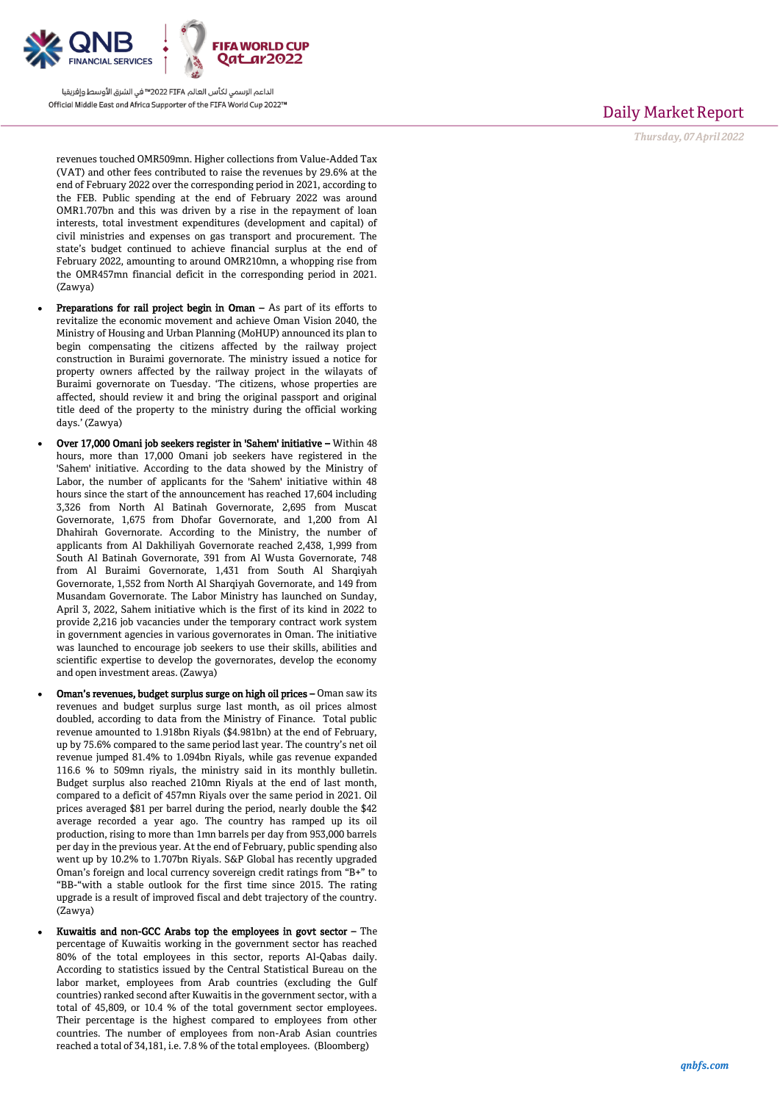

revenues touched OMR509mn. Higher collections from Value -Added Tax (VAT) and other fees contributed to raise the revenues by 29.6% at the end of February 2022 over the corresponding period in 2021, according to the FEB. Public spending at the end of February 2022 was around OMR1.707bn and this was driven by a rise in the repayment of loan interests, total investment expenditures (development and capital) of civil ministries and expenses on gas transport and procurement. The state's budget continued to achieve financial surplus at the end of February 2022, amounting to around OMR210mn, a whopping rise from the OMR457mn financial deficit in the corresponding period in 2021. (Zawya)

- Preparations for rail project begin in  $O$ man  $-$  As part of its efforts to revitalize the economic movement and achieve Oman Vision 2040, the Ministry of Housing and Urban Planning (MoHUP) announced its plan to begin compensating the citizens affected by the railway project construction in Buraimi governorate. The ministry issued a notice for property owners affected by the railway project in the wilayats of Buraimi governorate on Tuesday. 'The citizens, whose properties are affected, should review it and bring the original passport and original title deed of the property to the ministry during the official working days.' (Zawya)
- Over 17,000 Omani job seekers register in 'Sahem' initiative Within 48 hours, more than 17,000 Omani job seekers have registered in the 'Sahem' initiative. According to the data showed by the Ministry of Labor, the number of applicants for the 'Sahem' initiative within 48 hours since the start of the announcement has reached 17,604 including 3,326 from North Al Batinah Governorate, 2,695 from Muscat Governorate, 1,675 from Dhofar Governorate, and 1,200 from Al Dhahirah Governorate. According to the Ministry, the number of applicants from Al Dakhiliyah Governorate reached 2,438, 1,999 from South Al Batinah Governorate, 391 from Al Wusta Governorate, 748 from Al Buraimi Governorate, 1,431 from South Al Sharqiyah Governorate, 1,552 from North Al Sharqiyah Governorate, and 149 from Musandam Governorate. The Labor Ministry has launched on Sunday, April 3, 2022, Sahem initiative which is the first of its kind in 2022 to provide 2,216 job vacancies under the temporary contract work system in government agencies in various governorates in Oman. The initiative was launched to encourage job seekers to use their skills, abilities and scientific expertise to develop the governorates, develop the economy and open investment areas. (Zawya)
- Oman's revenues, budget surplus surge on high oil prices Oman saw its revenues and budget surplus surge last month, as oil prices almost doubled, according to data from the Ministry of Finance. Total public revenue amounted to 1.918bn Riyals (\$4.981bn) at the end of February, up by 75.6% compared to the same period last year. The country's net oil revenue jumped 81.4% to 1.094bn Riyals, while gas revenue expanded 116.6 % to 509mn riyals, the ministry said in its monthly bulletin. Budget surplus also reached 210mn Riyals at the end of last month, compared to a deficit of 457mn Riyals over the same period in 2021. Oil prices averaged \$81 per barrel during the period, nearly double the \$42 average recorded a year ago. The country has ramped up its oil production, rising to more than 1mn barrels per day from 953,000 barrels per day in the previous year. At the end of February, public spending also went up by 10.2% to 1.707bn Riyals. S&P Global has recently upgraded Oman's foreign and local currency sovereign credit ratings from "B+" to "BB -"with a stable outlook for the first time since 2015. The rating upgrade is a result of improved fiscal and debt trajectory of the country. (Zawya)
- Kuwaitis and non-GCC Arabs top the employees in govt sector The percentage of Kuwaitis working in the government sector has reached 80% of the total employees in this sector, reports Al -Qabas daily. According to statistics issued by the Central Statistical Bureau on the labor market, employees from Arab countries (excluding the Gulf countries) ranked second after Kuwaitis in the government sector, with a total of 45,809, or 10.4 % of the total government sector employees. Their percentage is the highest compared to employees from other countries. The number of employees from non -Arab Asian countries reached a total of 34,181, i.e. 7.8 % of the total employees. (Bloomberg)

### Daily Market Report

*Thursday, 07April 2022*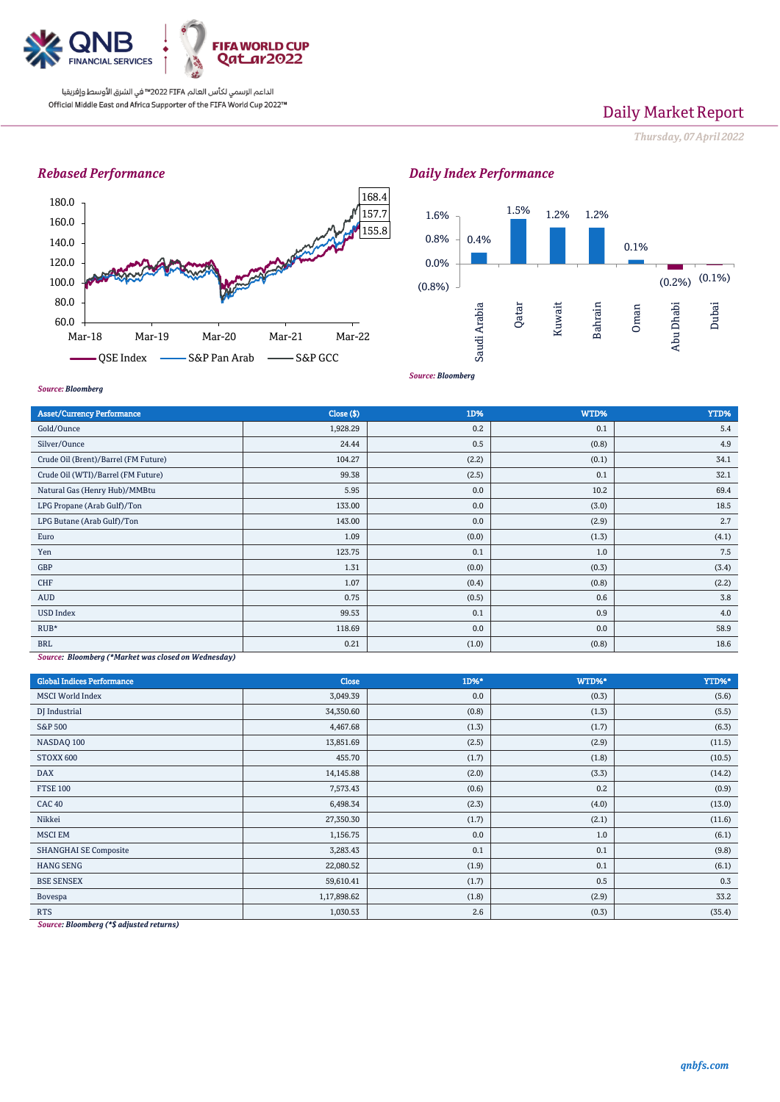

# Daily Market Report

*Thursday, 07April 2022*

### *Rebased Performance*



*Daily Index Performance*



*Source: Bloomberg*

#### *Source: Bloomberg*

| <b>Asset/Currency Performance</b>                   | Close ( \$) | 1D%   | WTD%  | YTD%  |  |  |
|-----------------------------------------------------|-------------|-------|-------|-------|--|--|
| Gold/Ounce                                          | 1,928.29    | 0.2   | 0.1   | 5.4   |  |  |
| Silver/Ounce                                        | 24.44       | 0.5   | (0.8) | 4.9   |  |  |
| Crude Oil (Brent)/Barrel (FM Future)                | 104.27      | (2.2) | (0.1) | 34.1  |  |  |
| Crude Oil (WTI)/Barrel (FM Future)                  | 99.38       | (2.5) | 0.1   | 32.1  |  |  |
| Natural Gas (Henry Hub)/MMBtu                       | 5.95        | 0.0   | 10.2  | 69.4  |  |  |
| LPG Propane (Arab Gulf)/Ton                         | 133.00      | 0.0   | (3.0) | 18.5  |  |  |
| LPG Butane (Arab Gulf)/Ton                          | 143.00      | 0.0   | (2.9) | 2.7   |  |  |
| Euro                                                | 1.09        | (0.0) | (1.3) | (4.1) |  |  |
| Yen                                                 | 123.75      | 0.1   | 1.0   | 7.5   |  |  |
| GBP                                                 | 1.31        | (0.0) | (0.3) | (3.4) |  |  |
| <b>CHF</b>                                          | 1.07        | (0.4) | (0.8) | (2.2) |  |  |
| <b>AUD</b>                                          | 0.75        | (0.5) | 0.6   | 3.8   |  |  |
| <b>USD Index</b>                                    | 99.53       | 0.1   | 0.9   | 4.0   |  |  |
| $RUB*$                                              | 118.69      | 0.0   | 0.0   | 58.9  |  |  |
| <b>BRL</b>                                          | 0.21        | (1.0) | (0.8) | 18.6  |  |  |
| Source: Bloomberg (*Market was closed on Wednesday) |             |       |       |       |  |  |

*Source: Bloomberg (\*Market was closed on Wednesday)*

| <b>Global Indices Performance</b>                                                                                             | <b>Close</b> | 1D%*  | WTD%* | YTD%*  |
|-------------------------------------------------------------------------------------------------------------------------------|--------------|-------|-------|--------|
| <b>MSCI</b> World Index                                                                                                       | 3,049.39     | 0.0   | (0.3) | (5.6)  |
| DJ Industrial                                                                                                                 | 34,350.60    | (0.8) | (1.3) | (5.5)  |
| S&P 500                                                                                                                       | 4,467.68     | (1.3) | (1.7) | (6.3)  |
| NASDAQ 100                                                                                                                    | 13,851.69    | (2.5) | (2.9) | (11.5) |
| STOXX 600                                                                                                                     | 455.70       | (1.7) | (1.8) | (10.5) |
| <b>DAX</b>                                                                                                                    | 14,145.88    | (2.0) | (3.3) | (14.2) |
| <b>FTSE 100</b>                                                                                                               | 7,573.43     | (0.6) | 0.2   | (0.9)  |
| <b>CAC 40</b>                                                                                                                 | 6,498.34     | (2.3) | (4.0) | (13.0) |
| Nikkei                                                                                                                        | 27,350.30    | (1.7) | (2.1) | (11.6) |
| <b>MSCI EM</b>                                                                                                                | 1,156.75     | 0.0   | 1.0   | (6.1)  |
| <b>SHANGHAI SE Composite</b>                                                                                                  | 3,283.43     | 0.1   | 0.1   | (9.8)  |
| <b>HANG SENG</b>                                                                                                              | 22,080.52    | (1.9) | 0.1   | (6.1)  |
| <b>BSE SENSEX</b>                                                                                                             | 59,610.41    | (1.7) | 0.5   | 0.3    |
| Bovespa                                                                                                                       | 1,17,898.62  | (1.8) | (2.9) | 33.2   |
| <b>RTS</b><br>the contract of the contract of the contract of the contract of the contract of the contract of the contract of | 1,030.53     | 2.6   | (0.3) | (35.4) |

*Source: Bloomberg (\*\$ adjusted returns)*